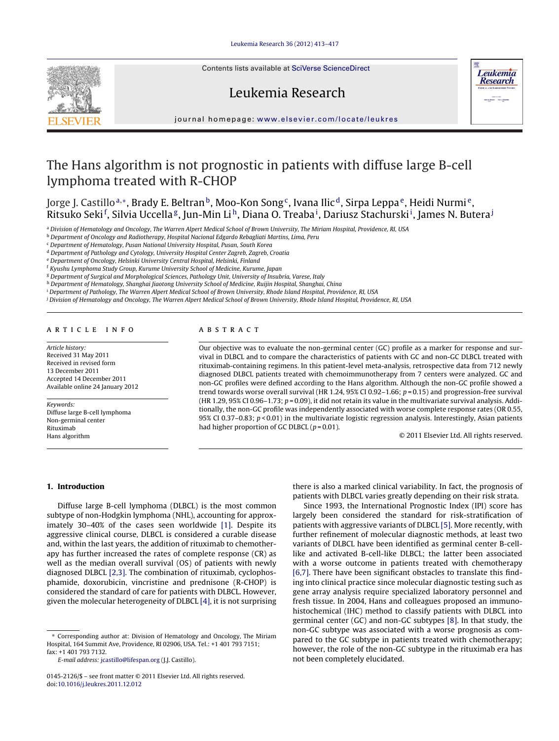Contents lists available at SciVerse [ScienceDirect](http://www.sciencedirect.com/science/journal/01452126)



Leukemia Research



iournal homepage: [www.elsevier.com/locate/leukres](http://www.elsevier.com/locate/leukres)

# The Hans algorithm is not prognostic in patients with diffuse large B-cell lymphoma treated with R-CHOP

Jorge J. Castillo<sup>a,∗</sup>, Brady E. Beltran<sup>b</sup>, Moo-Kon Song<sup>c</sup>, Ivana Ilic<sup>d</sup>, Sirpa Leppa<sup>e</sup>, Heidi Nurmi<sup>e</sup>, Ritsuko Seki<sup>f</sup>, Silvia Uccella<sup>g</sup>, Jun-Min Liʰ, Diana O. Treabaʲ, Dariusz Stachurskiʲ, James N. Butera<sup>j</sup>

<sup>a</sup> Division of Hematology and Oncology, The Warren Alpert Medical School of Brown University, The Miriam Hospital, Providence, RI, USA

**b Department of Oncology and Radiotherapy, Hospital Nacional Edgardo Rebagliati Martins, Lima, Peru** 

<sup>c</sup> Department of Hematology, Pusan National University Hospital, Pusan, South Korea

<sup>d</sup> Department of Pathology and Cytology, University Hospital Center Zagreb, Zagreb, Croatia

<sup>e</sup> Department of Oncology, Helsinki University Central Hospital, Helsinki, Finland

<sup>f</sup> Kyushu Lymphoma Study Group, Kurume University School of Medicine, Kurume, Japan

<sup>g</sup> Department of Surgical and Morphological Sciences, Pathology Unit, University of Insubria, Varese, Italy

h Department of Hematology, Shanghai Jiaotong University School of Medicine, Ruijin Hospital, Shanghai, China

<sup>i</sup> Department of Pathology, The Warren Alpert Medical School of Brown University, Rhode Island Hospital, Providence, RI, USA

<sup>j</sup> Division of Hematology and Oncology, The Warren Alpert Medical School of Brown University, Rhode Island Hospital, Providence, RI, USA

# ARTICLE INFO

Article history: Received 31 May 2011 Received in revised form 13 December 2011 Accepted 14 December 2011 Available online 24 January 2012

Keywords: Diffuse large B-cell lymphoma Non-germinal center Rituximab Hans algorithm

# A B S T R A C T

Our objective was to evaluate the non-germinal center (GC) profile as a marker for response and survival in DLBCL and to compare the characteristics of patients with GC and non-GC DLBCL treated with rituximab-containing regimens. In this patient-level meta-analysis, retrospective data from 712 newly diagnosed DLBCL patients treated with chemoimmunotherapy from 7 centers were analyzed. GC and non-GC profiles were defined according to the Hans algorithm. Although the non-GC profile showed a trend towards worse overall survival (HR 1.24, 95% CI 0.92-1.66;  $p = 0.15$ ) and progression-free survival (HR 1.29, 95% CI 0.96–1.73;  $p = 0.09$ ), it did not retain its value in the multivariate survival analysis. Additionally, the non-GC profile was independently associated with worse complete response rates (OR 0.55, 95% CI 0.37-0.83;  $p < 0.01$ ) in the multivariate logistic regression analysis. Interestingly, Asian patients had higher proportion of GC DLBCL  $(p = 0.01)$ .

© 2011 Elsevier Ltd. All rights reserved.

#### **1. Introduction**

Diffuse large B-cell lymphoma (DLBCL) is the most common subtype of non-Hodgkin lymphoma (NHL), accounting for approximately 30–40% of the cases seen worldwide [\[1\].](#page-4-0) Despite its aggressive clinical course, DLBCL is considered a curable disease and, within the last years, the addition of rituximab to chemotherapy has further increased the rates of complete response (CR) as well as the median overall survival (OS) of patients with newly diagnosed DLBCL [\[2,3\].](#page-4-0) The combination of rituximab, cyclophosphamide, doxorubicin, vincristine and prednisone (R-CHOP) is considered the standard of care for patients with DLBCL. However, given the molecular heterogeneity of DLBCL [\[4\],](#page-4-0) it is not surprising

∗ Corresponding author at: Division of Hematology and Oncology, The Miriam Hospital, 164 Summit Ave, Providence, RI 02906, USA. Tel.: +1 401 793 7151; fax: +1 401 793 7132.

E-mail address: [jcastillo@lifespan.org](mailto:jcastillo@lifespan.org) (J.J. Castillo).

there is also a marked clinical variability. In fact, the prognosis of patients with DLBCL varies greatly depending on their risk strata.

Since 1993, the International Prognostic Index (IPI) score has largely been considered the standard for risk-stratification of patients with aggressive variants of DLBCL [\[5\].](#page-4-0) More recently, with further refinement of molecular diagnostic methods, at least two variants of DLBCL have been identified as germinal center B-celllike and activated B-cell-like DLBCL; the latter been associated with a worse outcome in patients treated with chemotherapy [\[6,7\].](#page-4-0) There have been significant obstacles to translate this finding into clinical practice since molecular diagnostic testing such as gene array analysis require specialized laboratory personnel and fresh tissue. In 2004, Hans and colleagues proposed an immunohistochemical (IHC) method to classify patients with DLBCL into germinal center (GC) and non-GC subtypes [\[8\].](#page-4-0) In that study, the non-GC subtype was associated with a worse prognosis as compared to the GC subtype in patients treated with chemotherapy; however, the role of the non-GC subtype in the rituximab era has not been completely elucidated.

<sup>0145-2126/\$</sup> – see front matter © 2011 Elsevier Ltd. All rights reserved. doi:[10.1016/j.leukres.2011.12.012](dx.doi.org/10.1016/j.leukres.2011.12.012)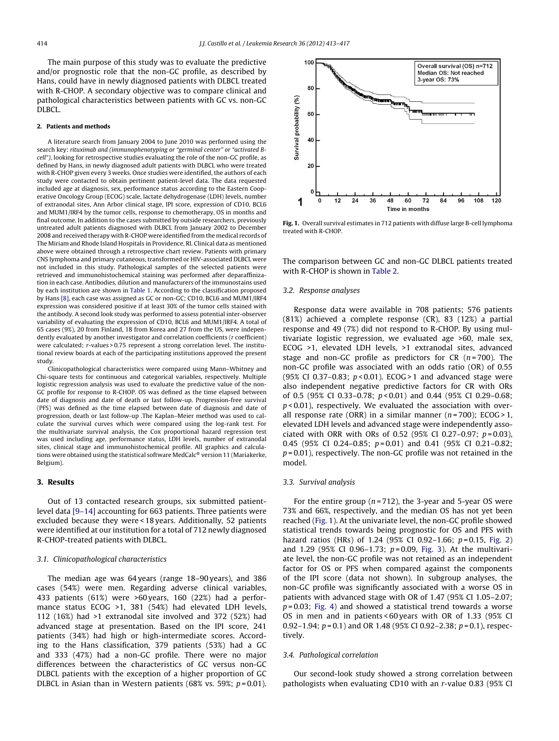The main purpose of this study was to evaluate the predictive and/or prognostic role that the non-GC profile, as described by Hans, could have in newly diagnosed patients with DLBCL treated with R-CHOP. A secondary objective was to compare clinical and pathological characteristics between patients with GC vs. non-GC DLBCL.

#### **2. Patients and methods**

A literature search from January 2004 to June 2010 was performed using the search key: rituximab and (immunophenotyping or "germinal center" or "activated Bcell"), looking for retrospective studies evaluating the role of the non-GC profile, as defined by Hans, in newly diagnosed adult patients with DLBCL who were treated with R-CHOP given every 3 weeks. Once studies were identified, the authors of each study were contacted to obtain pertinent patient-level data. The data requested included age at diagnosis, sex, performance status according to the Eastern Cooperative Oncology Group (ECOG) scale, lactate dehydrogenase (LDH) levels, number of extranodal sites, Ann Arbor clinical stage, IPI score, expression of CD10, BCL6 and MUM1/IRF4 by the tumor cells, response to chemotherapy, OS in months and final outcome. In addition to the cases submitted by outside researchers, previously untreated adult patients diagnosed with DLBCL from January 2002 to December 2008 and received therapy with R-CHOP were identified from the medical records of The Miriam and Rhode Island Hospitals in Providence, RI. Clinical data as mentioned above were obtained through a retrospective chart review. Patients with primary CNS lymphoma and primary cutaneous, transformed or HIV-associated DLBCL were not included in this study. Pathological samples of the selected patients were retrieved and immunohistochemical staining was performed after deparaffinization in each case. Antibodies, dilution and manufacturers of the immunostains used by each institution are shown in [Table](#page-2-0) 1. According to the classification proposed by Hans [\[8\],](#page-4-0) each case was assigned as GC or non-GC; CD10, BCL6 and MUM1/IRF4 expression was considered positive if at least 30% of the tumor cells stained with the antibody. A second look study was performed to assess potential inter-observer variability of evaluating the expression of CD10, BCL6 and MUM1/IRF4. A total of 65 cases (9%), 20 from Finland, 18 from Korea and 27 from the US, were independently evaluated by another investigator and correlation coefficients (r coefficient) were calculated; r-values > 0.75 represent a strong correlation level. The institutional review boards at each of the participating institutions approved the present study.

Clinicopathological characteristics were compared using Mann–Whitney and Chi-square tests for continuous and categorical variables, respectively. Multiple logistic regression analysis was used to evaluate the predictive value of the non-GC profile for response to R-CHOP. OS was defined as the time elapsed between date of diagnosis and date of death or last follow-up. Progression-free survival (PFS) was defined as the time elapsed between date of diagnosis and date of progression, death or last follow-up .The Kaplan–Meier method was used to calculate the survival curves which were compared using the log-rank test. For the multivariate survival analysis, the Cox proportional hazard regression test was used including age, performance status, LDH levels, number of extranodal sites, clinical stage and immunohistochemical profile. All graphics and calculations were obtained using the statistical software MedCalc® version 11 (Mariakerke, Belgium).

#### **3. Results**

Out of 13 contacted research groups, six submitted patientlevel data [\[9–14\]](#page-4-0) accounting for 663 patients. Three patients were excluded because they were < 18 years. Additionally, 52 patients were identified at our institution for a total of 712 newly diagnosed R-CHOP-treated patients with DLBCL.

#### 3.1. Clinicopathological characteristics

The median age was 64 years (range 18–90 years), and 386 cases (54%) were men. Regarding adverse clinical variables, 433 patients (61%) were >60 years, 160 (22%) had a performance status ECOG >1, 381 (54%) had elevated LDH levels, 112 (16%) had >1 extranodal site involved and 372 (52%) had advanced stage at presentation. Based on the IPI score, 241 patients (34%) had high or high-intermediate scores. According to the Hans classification, 379 patients (53%) had a GC and 333 (47%) had a non-GC profile. There were no major differences between the characteristics of GC versus non-GC DLBCL patients with the exception of a higher proportion of GC DLBCL in Asian than in Western patients (68% vs. 59%;  $p = 0.01$ ).



**Fig. 1.** Overall survival estimates in 712 patients with diffuse large B-cell lymphoma treated with R-CHOP.

The comparison between GC and non-GC DLBCL patients treated with R-CHOP is shown in [Table](#page-2-0) 2.

#### 3.2. Response analyses

Response data were available in 708 patients; 576 patients (81%) achieved a complete response (CR), 83 (12%) a partial response and 49 (7%) did not respond to R-CHOP. By using multivariate logistic regression, we evaluated age >60, male sex, ECOG >1, elevated LDH levels, >1 extranodal sites, advanced stage and non-GC profile as predictors for CR  $(n=700)$ . The non-GC profile was associated with an odds ratio (OR) of 0.55 (95% CI 0.37–0.83;  $p < 0.01$ ). ECOG > 1 and advanced stage were also independent negative predictive factors for CR with ORs of 0.5 (95% CI 0.33–0.78; p < 0.01) and 0.44 (95% CI 0.29–0.68;  $p$  < 0.01), respectively. We evaluated the association with overall response rate (ORR) in a similar manner ( $n = 700$ ); ECOG > 1, elevated LDH levels and advanced stage were independently associated with ORR with ORs of 0.52 (95% CI 0.27-0.97;  $p = 0.03$ ), 0.45 (95% CI 0.24-0.85;  $p = 0.01$ ) and 0.41 (95% CI 0.21-0.82;  $p = 0.01$ ), respectively. The non-GC profile was not retained in the model.

#### 3.3. Survival analysis

For the entire group ( $n = 712$ ), the 3-year and 5-year OS were 73% and 66%, respectively, and the median OS has not yet been reached (Fig. 1). At the univariate level, the non-GC profile showed statistical trends towards being prognostic for OS and PFS with hazard ratios (HRs) of 1.24 (95% CI 0.92–1.66;  $p=0.15$ , [Fig.](#page-2-0) 2) and  $1.29$  (95% CI 0.96-1.73;  $p = 0.09$ , [Fig.](#page-2-0) 3). At the multivariate level, the non-GC profile was not retained as an independent factor for OS or PFS when compared against the components of the IPI score (data not shown). In subgroup analyses, the non-GC profile was significantly associated with a worse OS in patients with advanced stage with OR of 1.47 (95% CI 1.05–2.07;  $p = 0.03$ ; [Fig.](#page-3-0) 4) and showed a statistical trend towards a worse OS in men and in patients < 60 years with OR of 1.33 (95% CI 0.92–1.94;  $p = 0.1$ ) and OR 1.48 (95% CI 0.92–2.38;  $p = 0.1$ ), respectively.

### 3.4. Pathological correlation

Our second-look study showed a strong correlation between pathologists when evaluating CD10 with an r-value 0.83 (95% CI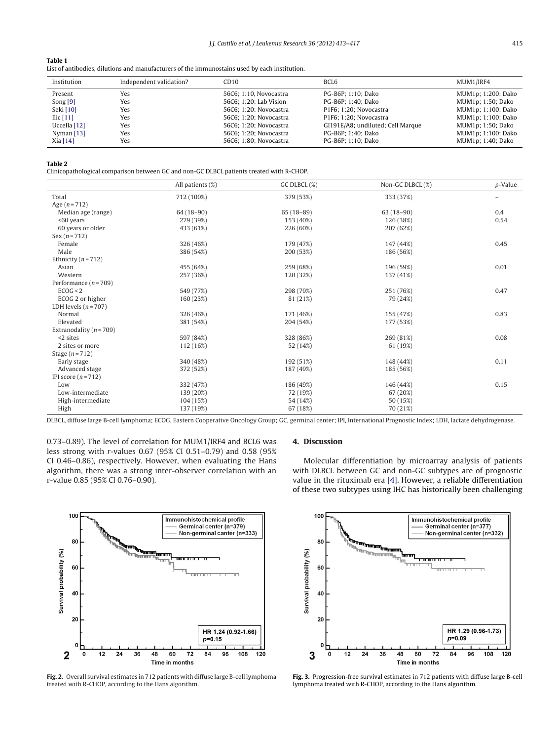### <span id="page-2-0"></span>**Table 1**

List of antibodies, dilutions and manufacturers of the immunostains used by each institution.

| Institution  | Independent validation? | CD <sub>10</sub>       | BCL <sub>6</sub>                  | MUM1/IRF4          |
|--------------|-------------------------|------------------------|-----------------------------------|--------------------|
| Present      | Yes                     | 56C6; 1:10, Novocastra | PG-B6P: 1:10: Dako                | MUM1p; 1:200; Dako |
| Song $[9]$   | Yes                     | 56C6; 1:20; Lab Vision | PG-B6P: 1:40: Dako                | MUM1p; 1:50; Dako  |
| Seki [10]    | Yes                     | 56C6: 1:20: Novocastra | P1F6: 1:20: Novocastra            | MUM1p; 1:100; Dako |
| Ilic $[11]$  | Yes                     | 56C6: 1:20: Novocastra | P1F6; 1:20; Novocastra            | MUM1p; 1:100; Dako |
| Uccella [12] | Yes                     | 56C6; 1:20; Novocastra | GI191E/A8; undiluted; Cell Marque | MUM1p; 1:50; Dako  |
| Nyman $[13]$ | Yes                     | 56C6; 1:20; Novocastra | PG-B6P; 1:40; Dako                | MUM1p; 1:100; Dako |
| Xia [14]     | Yes                     | 56C6; 1:80; Novocastra | PG-B6P: 1:10: Dako                | MUM1p; 1:40; Dako  |

#### **Table 2**

Clinicopathological comparison between GC and non-GC DLBCL patients treated with R-CHOP.

|                             | All patients (%) | GC DLBCL (%) | Non-GC DLBCL (%) | p-Value |
|-----------------------------|------------------|--------------|------------------|---------|
| Total                       | 712 (100%)       | 379 (53%)    | 333 (37%)        |         |
| Age $(n = 712)$             |                  |              |                  |         |
| Median age (range)          | $64(18-90)$      | $65(18-89)$  | $63(18-90)$      | 0.4     |
| <60 years                   | 279 (39%)        | 153 (40%)    | 126 (38%)        | 0.54    |
| 60 years or older           | 433 (61%)        | 226 (60%)    | 207 (62%)        |         |
| $Sex(n = 712)$              |                  |              |                  |         |
| Female                      | 326 (46%)        | 179 (47%)    | 147 (44%)        | 0.45    |
| Male                        | 386 (54%)        | 200 (53%)    | 186 (56%)        |         |
| Ethnicity ( $n = 712$ )     |                  |              |                  |         |
| Asian                       | 455 (64%)        | 259 (68%)    | 196 (59%)        | 0.01    |
| Western                     | 257 (36%)        | 120 (32%)    | 137 (41%)        |         |
| Performance $(n = 709)$     |                  |              |                  |         |
| ECOG < 2                    | 549 (77%)        | 298 (79%)    | 251 (76%)        | 0.47    |
| ECOG 2 or higher            | 160 (23%)        | 81 (21%)     | 79 (24%)         |         |
| LDH levels $(n = 707)$      |                  |              |                  |         |
| Normal                      | 326 (46%)        | 171 (46%)    | 155 (47%)        | 0.83    |
| Elevated                    | 381 (54%)        | 204 (54%)    | 177 (53%)        |         |
| Extranodality ( $n = 709$ ) |                  |              |                  |         |
| $<$ 2 sites                 | 597 (84%)        | 328 (86%)    | 269 (81%)        | 0.08    |
| 2 sites or more             | 112 (16%)        | 52 (14%)     | 61 (19%)         |         |
| Stage $(n=712)$             |                  |              |                  |         |
| Early stage                 | 340 (48%)        | 192 (51%)    | 148 (44%)        | 0.11    |
| Advanced stage              | 372 (52%)        | 187 (49%)    | 185 (56%)        |         |
| IPI score $(n=712)$         |                  |              |                  |         |
| Low                         | 332 (47%)        | 186 (49%)    | 146 (44%)        | 0.15    |
| Low-intermediate            | 139 (20%)        | 72 (19%)     | 67 (20%)         |         |
| High-intermediate           | 104 (15%)        | 54 (14%)     | 50 (15%)         |         |
| High                        | 137 (19%)        | 67 (18%)     | 70 (21%)         |         |

DLBCL, diffuse large B-cell lymphoma; ECOG, Eastern Cooperative Oncology Group; GC, germinal center; IPI, International Prognostic Index; LDH, lactate dehydrogenase.

0.73–0.89). The level of correlation for MUM1/IRF4 and BCL6 was less strong with r-values 0.67 (95% CI 0.51–0.79) and 0.58 (95% CI 0.46–0.86), respectively. However, when evaluating the Hans algorithm, there was a strong inter-observer correlation with an r-value 0.85 (95% CI 0.76–0.90).



Molecular differentiation by microarray analysis of patients with DLBCL between GC and non-GC subtypes are of prognostic value in the rituximab era [\[4\].](#page-4-0) However, a reliable differentiation of these two subtypes using IHC has historically been challenging



**Fig. 2.** Overall survival estimates in 712 patients with diffuse large B-cell lymphoma treated with R-CHOP, according to the Hans algorithm.



**Fig. 3.** Progression-free survival estimates in 712 patients with diffuse large B-cell lymphoma treated with R-CHOP, according to the Hans algorithm.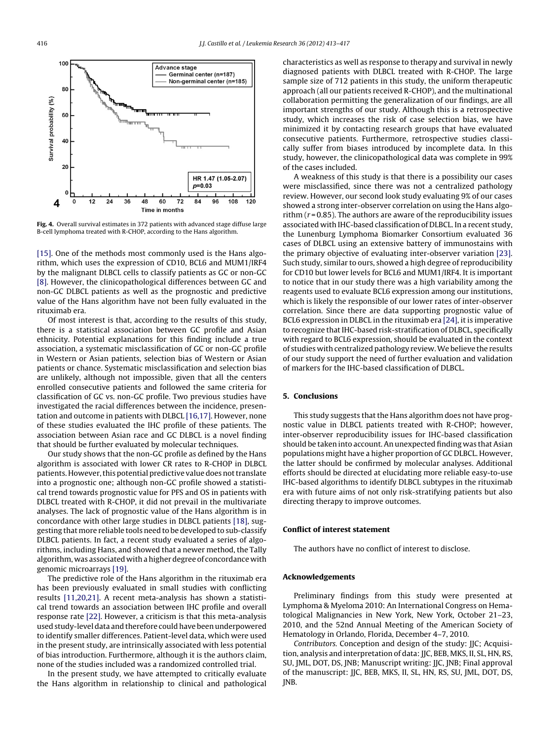<span id="page-3-0"></span>

**Fig. 4.** Overall survival estimates in 372 patients with advanced stage diffuse large B-cell lymphoma treated with R-CHOP, according to the Hans algorithm.

[\[15\].](#page-4-0) One of the methods most commonly used is the Hans algorithm, which uses the expression of CD10, BCL6 and MUM1/IRF4 by the malignant DLBCL cells to classify patients as GC or non-GC [\[8\].](#page-4-0) However, the clinicopathological differences between GC and non-GC DLBCL patients as well as the prognostic and predictive value of the Hans algorithm have not been fully evaluated in the rituximab era.

Of most interest is that, according to the results of this study, there is a statistical association between GC profile and Asian ethnicity. Potential explanations for this finding include a true association, a systematic misclassification of GC or non-GC profile in Western or Asian patients, selection bias of Western or Asian patients or chance. Systematic misclassification and selection bias are unlikely, although not impossible, given that all the centers enrolled consecutive patients and followed the same criteria for classification of GC vs. non-GC profile. Two previous studies have investigated the racial differences between the incidence, presentation and outcome in patients with DLBCL [\[16,17\].](#page-4-0) However, none of these studies evaluated the IHC profile of these patients. The association between Asian race and GC DLBCL is a novel finding that should be further evaluated by molecular techniques.

Our study shows that the non-GC profile as defined by the Hans algorithm is associated with lower CR rates to R-CHOP in DLBCL patients. However, this potential predictive value does not translate into a prognostic one; although non-GC profile showed a statistical trend towards prognostic value for PFS and OS in patients with DLBCL treated with R-CHOP, it did not prevail in the multivariate analyses. The lack of prognostic value of the Hans algorithm is in concordance with other large studies in DLBCL patients [\[18\],](#page-4-0) suggesting that more reliable tools need to be developed to sub-classify DLBCL patients. In fact, a recent study evaluated a series of algorithms, including Hans, and showed that a newer method, the Tally algorithm, was associated with a higher degree of concordance with genomic microarrays [\[19\].](#page-4-0)

The predictive role of the Hans algorithm in the rituximab era has been previously evaluated in small studies with conflicting results [\[11,20,21\].](#page-4-0) A recent meta-analysis has shown a statistical trend towards an association between IHC profile and overall response rate [\[22\].](#page-4-0) However, a criticism is that this meta-analysis used study-level data and therefore could have been underpowered to identify smaller differences. Patient-level data, which were used in the present study, are intrinsically associated with less potential of bias introduction. Furthermore, although it is the authors claim, none of the studies included was a randomized controlled trial.

In the present study, we have attempted to critically evaluate the Hans algorithm in relationship to clinical and pathological characteristics as well as response to therapy and survival in newly diagnosed patients with DLBCL treated with R-CHOP. The large sample size of 712 patients in this study, the uniform therapeutic approach (all our patients received R-CHOP), and the multinational collaboration permitting the generalization of our findings, are all important strengths of our study. Although this is a retrospective study, which increases the risk of case selection bias, we have minimized it by contacting research groups that have evaluated consecutive patients. Furthermore, retrospective studies classically suffer from biases introduced by incomplete data. In this study, however, the clinicopathological data was complete in 99% of the cases included.

A weakness of this study is that there is a possibility our cases were misclassified, since there was not a centralized pathology review. However, our second look study evaluating 9% of our cases showed a strong inter-observer correlation on using the Hans algorithm  $(r = 0.85)$ . The authors are aware of the reproducibility issues associated with IHC-based classification of DLBCL. In a recent study, the Lunenburg Lymphoma Biomarker Consortium evaluated 36 cases of DLBCL using an extensive battery of immunostains with the primary objective of evaluating inter-observer variation [\[23\].](#page-4-0) Such study, similar to ours, showed a high degree of reproducibility for CD10 but lower levels for BCL6 and MUM1/IRF4. It is important to notice that in our study there was a high variability among the reagents used to evaluate BCL6 expression among our institutions, which is likely the responsible of our lower rates of inter-observer correlation. Since there are data supporting prognostic value of BCL6 expression in DLBCL in the rituximab era [\[24\],](#page-4-0) it is imperative to recognize that IHC-based risk-stratification of DLBCL, specifically with regard to BCL6 expression, should be evaluated in the context of studies with centralized pathology review.We believe the results of our study support the need of further evaluation and validation of markers for the IHC-based classification of DLBCL.

#### **5. Conclusions**

This study suggests that the Hans algorithm does not have prognostic value in DLBCL patients treated with R-CHOP; however, inter-observer reproducibility issues for IHC-based classification should be taken into account. An unexpected finding was that Asian populations might have a higher proportion of GC DLBCL. However, the latter should be confirmed by molecular analyses. Additional efforts should be directed at elucidating more reliable easy-to-use IHC-based algorithms to identify DLBCL subtypes in the rituximab era with future aims of not only risk-stratifying patients but also directing therapy to improve outcomes.

#### **Conflict of interest statement**

The authors have no conflict of interest to disclose.

#### **Acknowledgements**

Preliminary findings from this study were presented at Lymphoma & Myeloma 2010: An International Congress on Hematological Malignancies in New York, New York, October 21–23, 2010, and the 52nd Annual Meeting of the American Society of Hematology in Orlando, Florida, December 4–7, 2010.

Contributors. Conception and design of the study: JJC; Acquisition, analysis and interpretation of data: JJC, BEB, MKS, II, SL, HN, RS, SU, JML, DOT, DS, JNB; Manuscript writing: JJC, JNB; Final approval of the manuscript: JJC, BEB, MKS, II, SL, HN, RS, SU, JML, DOT, DS, JNB.